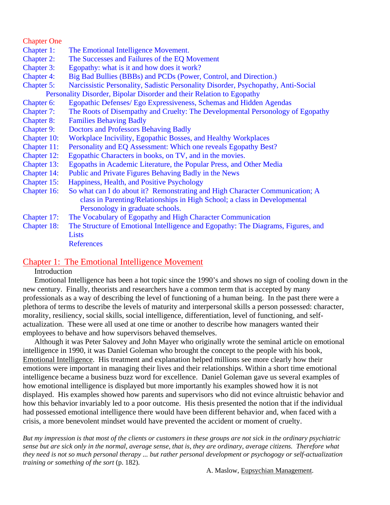## Chapter One

- Chapter 1: The Emotional Intelligence Movement.
- Chapter 2: The Successes and Failures of the EQ Movement
- Chapter 3: Egopathy: what is it and how does it work?
- Chapter 4: Big Bad Bullies (BBBs) and PCDs (Power, Control, and Direction.)
- Chapter 5: Narcissistic Personality, Sadistic Personality Disorder, Psychopathy, Anti-Social
- Personality Disorder, Bipolar Disorder and their Relation to Egopathy
- Chapter 6: Egopathic Defenses/ Ego Expressiveness, Schemas and Hidden Agendas
- Chapter 7: The Roots of Disempathy and Cruelty: The Developmental Personology of Egopathy
- Chapter 8: Families Behaving Badly
- Chapter 9: Doctors and Professors Behaving Badly
- Chapter 10: Workplace Incivility, Egopathic Bosses, and Healthy Workplaces
- Chapter 11: Personality and EQ Assessment: Which one reveals Egopathy Best?
- Chapter 12: Egopathic Characters in books, on TV, and in the movies.
- Chapter 13: Egopaths in Academic Literature, the Popular Press, and Other Media
- Chapter 14: Public and Private Figures Behaving Badly in the News
- Chapter 15: Happiness, Health, and Positive Psychology
- Chapter 16: So what can I do about it? Remonstrating and High Character Communication; A class in Parenting/Relationships in High School; a class in Developmental Personology in graduate schools.
- Chapter 17: The Vocabulary of Egopathy and High Character Communication
- Chapter 18: The Structure of Emotional Intelligence and Egopathy: The Diagrams, Figures, and **Lists**

**References** 

## Chapter 1: The Emotional Intelligence Movement

# **Introduction**

 Emotional Intelligence has been a hot topic since the 1990's and shows no sign of cooling down in the new century. Finally, theorists and researchers have a common term that is accepted by many professionals as a way of describing the level of functioning of a human being. In the past there were a plethora of terms to describe the levels of maturity and interpersonal skills a person possessed: character, morality, resiliency, social skills, social intelligence, differentiation, level of functioning, and selfactualization. These were all used at one time or another to describe how managers wanted their employees to behave and how supervisors behaved themselves.

 Although it was Peter Salovey and John Mayer who originally wrote the seminal article on emotional intelligence in 1990, it was Daniel Goleman who brought the concept to the people with his book, Emotional Intelligence. His treatment and explanation helped millions see more clearly how their emotions were important in managing their lives and their relationships. Within a short time emotional intelligence became a business buzz word for excellence. Daniel Goleman gave us several examples of how emotional intelligence is displayed but more importantly his examples showed how it is not displayed. His examples showed how parents and supervisors who did not evince altruistic behavior and how this behavior invariably led to a poor outcome. His thesis presented the notion that if the individual had possessed emotional intelligence there would have been different behavior and, when faced with a crisis, a more benevolent mindset would have prevented the accident or moment of cruelty.

*But my impression is that most of the clients or customers in these groups are not sick in the ordinary psychiatric sense but are sick only in the normal, average sense, that is, they are ordinary, average citizens. Therefore what they need is not so much personal therapy ... but rather personal development or psychogogy or self-actualization training or something of the sort* (p. 182).

A. Maslow, Eupsychian Management.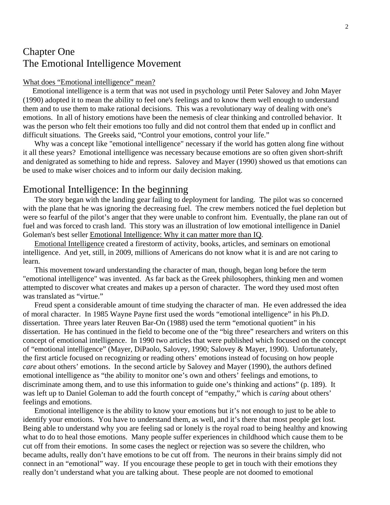# Chapter One The Emotional Intelligence Movement

#### What does "Emotional intelligence" mean?

 Emotional intelligence is a term that was not used in psychology until Peter Salovey and John Mayer (1990) adopted it to mean the ability to feel one's feelings and to know them well enough to understand them and to use them to make rational decisions. This was a revolutionary way of dealing with one's emotions. In all of history emotions have been the nemesis of clear thinking and controlled behavior. It was the person who felt their emotions too fully and did not control them that ended up in conflict and difficult situations. The Greeks said, "Control your emotions, control your life."

 Why was a concept like "emotional intelligence" necessary if the world has gotten along fine without it all these years? Emotional intelligence was necessary because emotions are so often given short-shrift and denigrated as something to hide and repress. Salovey and Mayer (1990) showed us that emotions can be used to make wiser choices and to inform our daily decision making.

# Emotional Intelligence: In the beginning

 The story began with the landing gear failing to deployment for landing. The pilot was so concerned with the plane that he was ignoring the decreasing fuel. The crew members noticed the fuel depletion but were so fearful of the pilot's anger that they were unable to confront him. Eventually, the plane ran out of fuel and was forced to crash land. This story was an illustration of low emotional intelligence in Daniel Goleman's best seller Emotional Intelligence: Why it can matter more than IQ.

Emotional Intelligence created a firestorm of activity, books, articles, and seminars on emotional intelligence. And yet, still, in 2009, millions of Americans do not know what it is and are not caring to learn.

 This movement toward understanding the character of man, though, began long before the term "emotional intelligence" was invented. As far back as the Greek philosophers, thinking men and women attempted to discover what creates and makes up a person of character. The word they used most often was translated as "virtue."

 Freud spent a considerable amount of time studying the character of man. He even addressed the idea of moral character. In 1985 Wayne Payne first used the words "emotional intelligence" in his Ph.D. dissertation. Three years later Reuven Bar-On (1988) used the term "emotional quotient" in his dissertation. He has continued in the field to become one of the "big three" researchers and writers on this concept of emotional intelligence. In 1990 two articles that were published which focused on the concept of "emotional intelligence" (Mayer, DiPaolo, Salovey, 1990; Salovey & Mayer, 1990). Unfortunately, the first article focused on recognizing or reading others' emotions instead of focusing on how people *care* about others' emotions. In the second article by Salovey and Mayer (1990), the authors defined emotional intelligence as "the ability to monitor one's own and others' feelings and emotions, to discriminate among them, and to use this information to guide one's thinking and actions" (p. 189). It was left up to Daniel Goleman to add the fourth concept of "empathy," which is *caring* about others' feelings and emotions.

 Emotional intelligence is the ability to know your emotions but it's not enough to just to be able to identify your emotions. You have to understand them, as well, and it's there that most people get lost. Being able to understand why you are feeling sad or lonely is the royal road to being healthy and knowing what to do to heal those emotions. Many people suffer experiences in childhood which cause them to be cut off from their emotions. In some cases the neglect or rejection was so severe the children, who became adults, really don't have emotions to be cut off from. The neurons in their brains simply did not connect in an "emotional" way. If you encourage these people to get in touch with their emotions they really don't understand what you are talking about. These people are not doomed to emotional